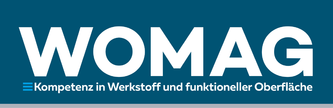### **EKompetenz in Werkstoff und funktioneller Oberfläche**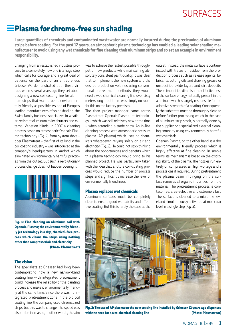# **SURFACES**

### **Plasma for chrome-free sun shading**

**Large quantities of chemicals and contaminated wastewater are normally incurred during the precleaning of aluminum strips before coating. For the past 12 years, an atmospheric plasma technology has enabled a leading solar shading manufacturer to avoid using any wet chemicals for fine cleaning their aluminum strips and so set an example in environment responsibility.** 

Changing from an established industrial process to a completely new one is a huge step which calls for courage and a great deal of patience on the part of an entrepreneur. Griesser AG demonstrated both these virtues when several years ago they set about designing a new coil coating line for aluminum strips that was to be as environmentally friendly as possible. As one of Europe's leading manufacturers of solar shading, the Swiss family business specializes in weather-resistant aluminum roller shutters and external Venetian blinds. In 2007 a cleaning process based on atmospheric Openair-Plasma technology (*Fig. 1*) from system developer Plasmatreat – the first of its kind in the coil coating industry – was introduced at the company's headquarters in Aadorf which eliminated environmentally harmful practices from the outset. But such a revolutionary process change does not happen overnight.



**Fig. 1: Fine cleaning an aluminum coil with Openair-Plasma; the environmentally friendly jet technology is a dry, chemical-free process which cleans the strips using nothing other than compressed air and electricity (Photo: Plasmatreat)**

#### **The vision**

The specialists at Griesser had long been contemplating how a new narrow-band coating line with integrated pretreatment could increase the reliability of the painting process and make it environmentally friendly at the same time. Since there was no integrated pretreatment zone in the old coil coating line, the company used chromatized strips, but this was to change. The speed was also to be increased, in other words, the aim

was to achieve the fastest possible throughput of new products while maintaining absolutely consistent paint quality. It was clear that to implement the new system and the desired production volumes using conventional pretreatment methods, they would need a wet-chemical cleaning line over sixty meters long – but there was simply no room for this on the factory premises.

The then project manager came across Plasmatreat Openair-Plasma jet technology – which was still relatively new at the time – when attending a trade show. An in-line cleaning process with atmospheric pressure plasma (AP plasma) which uses no chemicals whatsoever, relying solely on air and electricity (*Fig. 2*). He could not stop thinking about the opportunities and benefits which this plasma technology would bring to his planned project. He was particularly taken with the idea that a future coil-coating process would reduce the number of process steps and significantly increase the level of environmentally friendliness.

### **Plasma replaces wet chemicals**

Aluminum surfaces must be completely clean to ensure good wettability and effective coating. But this is rarely the case at the

outset. Instead, the metal surface is contaminated with traces of residue from the production process such as release agents, lubricants, cutting oils and drawing grease or unspecified oxide layers and dirt deposits. These impurities diminish the effectiveness of the surface energy naturally present in the aluminum which is largely responsible for the adhesive strength of a coating. Consequently, the substrate must be thoroughly cleaned before further processing which, in the case of aluminum strip stock, is normally done by the supplier or a specialized external cleaning company using environmentally harmful wet chemicals.

Openair-Plasma, on the other hand, is a dry, environmentally friendly process which is highly effective at fine cleaning. In simple terms, its mechanism is based on the oxidizing ability of the plasma. The nozzles run entirely on compressed air, high-voltage and a process gas if required. During pretreatment, the plasma beam impinging on the surface removes all organic impurities from the material. The pretreatment process is contact-free, area-selective and extremely fast. The surface is cleaned to a microfine level and simultaneously activated at molecular level in a single step (*Fig. 3*).



**Fig. 2: The use of AP plasma on the new coating line installed by Griesser 12 years ago dispenses with the need for a wet-chemical cleaning line (Photo: Plasmatreat)**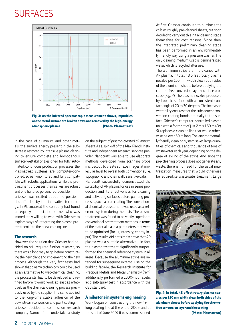# **SURFACES**





In the case of aluminum and other metals, the surface energy present in the substrate is restored by intensive plasma cleaning to ensure complete and homogenous surface wettability. Designed for fully automated, continuous production processes, the Plasmatreat systems are computer-controlled, screen-monitored and fully compatible with robotic applications, while the pretreatment processes themselves are robust and one hundred percent reproducible.

Griesser was excited about the possibilities afforded by the innovative technology. In Plasmatreat the company had found an equally enthusiastic partner who was immediately willing to work with Griesser to explore ways of integrating the plasma pretreatment into their new coating line.

### **The research**

However, the solution that Griesser had decided on still required further research, so there was a long way to go before constructing the new plant and implementing the new process. Although the very first tests had shown that plasma technology could be used as an alternative to wet-chemical cleaning, the process still had to be developed and refined before it would work at least as effectively as the chemical cleaning process previously used by the supplier. The same applied to the long-time stable adhesion of the downstream conversion and paint coating. Griesser decided to commission research company Nanocraft to undertake a study on the subject of *plasma-treated aluminum sheets*. As a spin-off of the Max Planck Institute and independent research services provider, Nanocraft was able to use elaborate methods developed from scanning probe microscopy to create surface images at molecular level to reveal both conventional, i.e. topographic, and chemically sensitive data. Nanocraft successfully demonstrated the suitability of AP plasma for use in series production and its effectiveness for cleaning and activating surfaces before painting processes, such as coil coating. The conventional chemical pretreatment was used as a reference system during the tests. The plasma treatment was found to be vastly superior to conventional pretreatment methods in terms of the material plasma parameters that were to be optimized (focus, intensity, energy input). The results did not simply prove that AP plasma was a suitable alternative – in fact, the plasma treatment significantly outperformed the chemical reference system in all areas. Because the aluminum strips are intended for subsequent external use on the building facade, the Research Institute for Precious Metals and Metal Chemistry (fem) additionally performed a 1000-hour acetic acid salt-spray test in accordance with the GSB standard.

#### **A milestone in systems engineering**

Work began on constructing the new 49 m long coating line at the end of 2006, and at the start of June 2007 it was commissioned. At first, Griesser continued to purchase the coils as roughly pre-cleaned sheets, but soon decided to carry out this initial cleaning stage themselves for cost reasons. Since then, the integrated preliminary cleaning stage has been performed in an environmentally friendly way using a pressure washer. The only cleaning medium used is demineralized water, which is recycled after use.

The aluminum strips are fine-cleaned with AP plasma. In total, 48 offset rotary plasma nozzles per 150 mm width clean both sides of the aluminum sheets before applying the chrome-free conversion layer (no-rinse process) (*Fig. 4*). The plasma nozzles produce a hydrophilic surface with a consistent contact angle of 20 to 30 degrees. The increased wettability ensures that the subsequent conversion coating bonds optimally to the surface. Griesser's computer-controlled plasma unit, with a footprint of just 2 m x 1.50 m (*Fig. 5*), replaces a cleaning line that would otherwise be over 60 m long. The environmentally friendly cleaning system saves large quantities of chemicals and thousands of tons of wastewater each year, depending on the degree of soiling of the strips. And since the pre-cleaning process does not generate any waste, there is no need for the usual neutralization measures that would otherwise be required, i.e. wastewater treatment. Large



**Fig. 4: In total, 48 offset rotary plasma nozzles per 150 mm width clean both sides of the aluminum sheets before applying the chromefree conversion layer and the coating (Photo: Plasmatreat)**